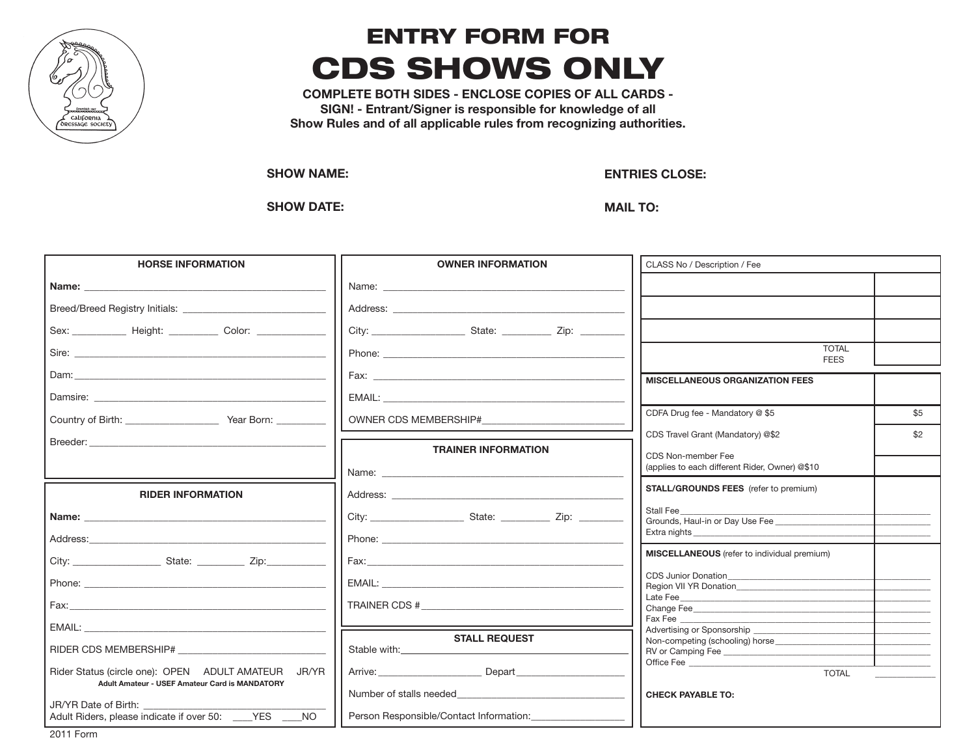

## entry form for **CDS SHOWS ONLY**

**COMPLETE BOTH SIDES - ENCLOSE COPIES OF ALL CARDS - SIGN! - Entrant/Signer is responsible for knowledge of all Show Rules and of all applicable rules from recognizing authorities.**

**SHOW NAME:** 

**ENTRIES CLOSE:** 

**SHOW DATE:** 

**MAIL TO:** 

| <b>HORSE INFORMATION</b>                                                                                                                                                                                                       | <b>OWNER INFORMATION</b>                                                                                                                                                                                                       | CLASS No / Description / Fee                                         |  |
|--------------------------------------------------------------------------------------------------------------------------------------------------------------------------------------------------------------------------------|--------------------------------------------------------------------------------------------------------------------------------------------------------------------------------------------------------------------------------|----------------------------------------------------------------------|--|
|                                                                                                                                                                                                                                |                                                                                                                                                                                                                                |                                                                      |  |
|                                                                                                                                                                                                                                |                                                                                                                                                                                                                                |                                                                      |  |
| Sex: _______________ Height: _____________ Color: ______________________________                                                                                                                                               |                                                                                                                                                                                                                                |                                                                      |  |
|                                                                                                                                                                                                                                |                                                                                                                                                                                                                                | <b>TOTAL</b><br><b>FEES</b>                                          |  |
|                                                                                                                                                                                                                                |                                                                                                                                                                                                                                | <b>MISCELLANEOUS ORGANIZATION FEES</b>                               |  |
|                                                                                                                                                                                                                                | EMAIL: EMAIL:                                                                                                                                                                                                                  |                                                                      |  |
|                                                                                                                                                                                                                                | OWNER CDS MEMBERSHIP#                                                                                                                                                                                                          | CDFA Drug fee - Mandatory @ \$5<br>\$5                               |  |
| Breeder: The contract of the contract of the contract of the contract of the contract of the contract of the contract of the contract of the contract of the contract of the contract of the contract of the contract of the c |                                                                                                                                                                                                                                | CDS Travel Grant (Mandatory) @\$2<br>\$2                             |  |
|                                                                                                                                                                                                                                | <b>TRAINER INFORMATION</b>                                                                                                                                                                                                     | CDS Non-member Fee<br>(applies to each different Rider, Owner) @\$10 |  |
| <b>RIDER INFORMATION</b>                                                                                                                                                                                                       |                                                                                                                                                                                                                                | STALL/GROUNDS FEES (refer to premium)                                |  |
| Name: Name: Name: Name: Name: Name: Name: Name: Name: Name: Name: Name: Name: Name: Name: Name: Name: Name: Name: Name: Name: Name: Name: Name: Name: Name: Name: Name: Name: Name: Name: Name: Name: Name: Name: Name: Name:  |                                                                                                                                                                                                                                | Stall Fee<br>Grounds, Haul-in or Day Use Fee                         |  |
|                                                                                                                                                                                                                                |                                                                                                                                                                                                                                | MISCELLANEOUS (refer to individual premium)                          |  |
|                                                                                                                                                                                                                                |                                                                                                                                                                                                                                |                                                                      |  |
|                                                                                                                                                                                                                                | EMAIL: EMAIL: EMAIL: EMAIL: EMAIL: EMAIL: EMAIL: EMAIL: EMAIL: EMAIL: EMAIL: EMAIL: EMAIL: EMAIL: EMAIL: EMAIL: EMAIL: EMAIL: EMAIL: EMAIL: EMAIL: EMAIL: EMAIL: EMAIL: EMAIL: EMAIL: EMAIL: EMAIL: EMAIL: EMAIL: EMAIL: EMAIL | <b>CDS Junior Donation CDS</b>                                       |  |
|                                                                                                                                                                                                                                |                                                                                                                                                                                                                                |                                                                      |  |
| EMAIL: The contract of the contract of the contract of the contract of the contract of the contract of the contract of the contract of the contract of the contract of the contract of the contract of the contract of the con |                                                                                                                                                                                                                                | Fax Fee<br>Advertising or Sponsorship                                |  |
| RIDER CDS MEMBERSHIP#                                                                                                                                                                                                          | <b>STALL REQUEST</b>                                                                                                                                                                                                           | Non-competing (schooling) horse<br>RV or Camping Fee                 |  |
| Rider Status (circle one): OPEN ADULT AMATEUR JR/YR                                                                                                                                                                            | Arrive: Depart                                                                                                                                                                                                                 | Office Fee<br><b>TOTAL</b>                                           |  |
| Adult Amateur - USEF Amateur Card is MANDATORY                                                                                                                                                                                 | Number of stalls needed                                                                                                                                                                                                        | <b>CHECK PAYABLE TO:</b>                                             |  |
| JR/YR Date of Birth:<br>Adult Riders, please indicate if over 50: YES<br><b>NO</b>                                                                                                                                             | Person Responsible/Contact Information:                                                                                                                                                                                        |                                                                      |  |

2011 Form